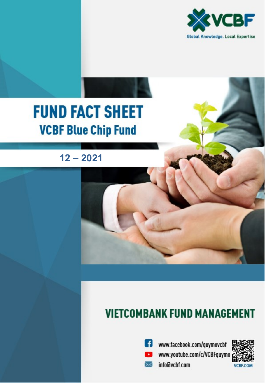

# **FUND FACT SHEET VCBF Blue Chip Fund**

 $12 - 2021$ 

## **VIETCOMBANK FUND MANAGEMENT**



<sup>6</sup> www.facebook.com/quymovcbf www.youtube.com/c/VCBFquymo info@vcbf.com

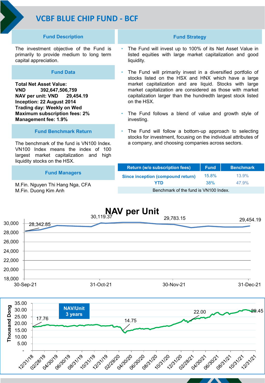## **VCBF BLUE CHIP FUND - BCF**

#### **Fund Description**

The investment objective of the Fund is primarily to provide medium to long term capital appreciation.

#### **Fund Data**

**Total Net Asset Value: VND 392,647,506,759 NAV per unit: VND 29,454.19 Inception: 22 August 2014 Trading day: Weekly on Wed Maximum subscription fees: 2% Management fee: 1.9%** 

#### **Fund Benchmark Return**

The benchmark of the fund is VN100 Index. VN100 Index means the index of 100 largest market capitalization and high liquidity stocks on the HSX.

#### **Fund Managers**

M.Fin. Nguyen Thi Hang Nga, CFA M.Fin. Duong Kim Anh

#### **Fund Strategy**

- The Fund will invest up to 100% of its Net Asset Value in listed equities with large market capitalization and good liquidity.
- The Fund will primarily invest in a diversified portfolio of stocks listed on the HSX and HNX which have a large market capitalization and are liquid. Stocks with large market capitalization are considered as those with market capitalization larger than the hundredth largest stock listed on the HSX.
- The Fund follows a blend of value and growth style of investing.
- The Fund will follow a bottom-up approach to selecting stocks for investment, focusing on the individual attributes of a company, and choosing companies across sectors.

| <b>Return (w/o subscription fees)</b> | <b>Fund</b> | <b>Benchmark</b> |
|---------------------------------------|-------------|------------------|
| Since inception (compound return)     | 15.8%       | 13.9%            |
| YTD                                   | <b>38%</b>  | 47.9%            |
| Benchmark of the fund is VN100 Index. |             |                  |